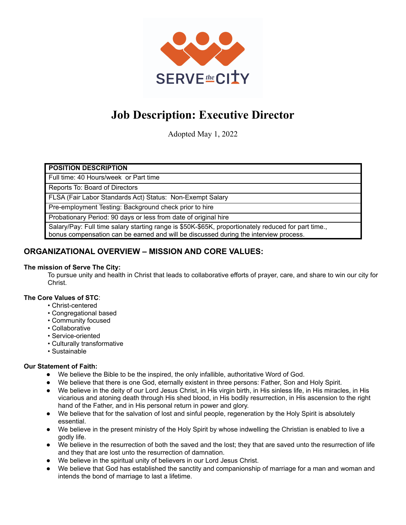

# **Job Description: Executive Director**

Adopted May 1, 2022

## **POSITION DESCRIPTION**

Full time: 40 Hours/week or Part time

Reports To: Board of Directors

FLSA (Fair Labor Standards Act) Status: Non-Exempt Salary

Pre-employment Testing: Background check prior to hire

Probationary Period: 90 days or less from date of original hire

Salary/Pay: Full time salary starting range is \$50K-\$65K, proportionately reduced for part time., bonus compensation can be earned and will be discussed during the interview process.

# **ORGANIZATIONAL OVERVIEW – MISSION AND CORE VALUES:**

## **The mission of Serve The City:**

To pursue unity and health in Christ that leads to collaborative efforts of prayer, care, and share to win our city for Christ.

## **The Core Values of STC**:

- Christ-centered
- Congregational based
- Community focused
- Collaborative
- Service-oriented
- Culturally transformative
- Sustainable

## **Our Statement of Faith:**

- We believe the Bible to be the inspired, the only infallible, authoritative Word of God.
- We believe that there is one God, eternally existent in three persons: Father, Son and Holy Spirit.
- We believe in the deity of our Lord Jesus Christ, in His virgin birth, in His sinless life, in His miracles, in His vicarious and atoning death through His shed blood, in His bodily resurrection, in His ascension to the right hand of the Father, and in His personal return in power and glory.
- We believe that for the salvation of lost and sinful people, regeneration by the Holy Spirit is absolutely essential.
- We believe in the present ministry of the Holy Spirit by whose indwelling the Christian is enabled to live a godly life.
- We believe in the resurrection of both the saved and the lost; they that are saved unto the resurrection of life and they that are lost unto the resurrection of damnation.
- We believe in the spiritual unity of believers in our Lord Jesus Christ.
- We believe that God has established the sanctity and companionship of marriage for a man and woman and intends the bond of marriage to last a lifetime.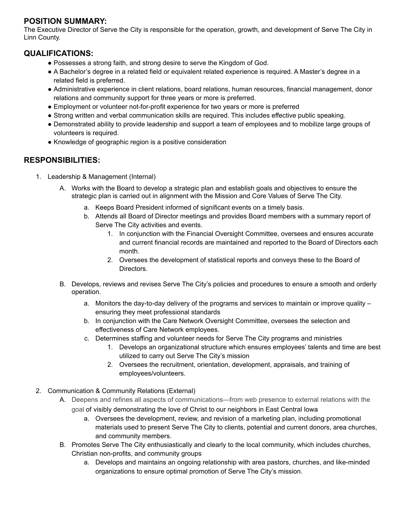# **POSITION SUMMARY:**

The Executive Director of Serve the City is responsible for the operation, growth, and development of Serve The City in Linn County.

## **QUALIFICATIONS:**

- Possesses a strong faith, and strong desire to serve the Kingdom of God.
- A Bachelor's degree in a related field or equivalent related experience is required. A Master's degree in a related field is preferred.
- Administrative experience in client relations, board relations, human resources, financial management, donor relations and community support for three years or more is preferred.
- Employment or volunteer not-for-profit experience for two years or more is preferred
- Strong written and verbal communication skills are required. This includes effective public speaking.
- Demonstrated ability to provide leadership and support a team of employees and to mobilize large groups of volunteers is required.
- Knowledge of geographic region is a positive consideration

# **RESPONSIBILITIES:**

- 1. Leadership & Management (Internal)
	- A. Works with the Board to develop a strategic plan and establish goals and objectives to ensure the strategic plan is carried out in alignment with the Mission and Core Values of Serve The City.
		- a. Keeps Board President informed of significant events on a timely basis.
		- b. Attends all Board of Director meetings and provides Board members with a summary report of Serve The City activities and events.
			- 1. In conjunction with the Financial Oversight Committee, oversees and ensures accurate and current financial records are maintained and reported to the Board of Directors each month.
			- 2. Oversees the development of statistical reports and conveys these to the Board of Directors.
	- B. Develops, reviews and revises Serve The City's policies and procedures to ensure a smooth and orderly operation.
		- a. Monitors the day-to-day delivery of the programs and services to maintain or improve quality ensuring they meet professional standards
		- b. In conjunction with the Care Network Oversight Committee, oversees the selection and effectiveness of Care Network employees.
		- c. Determines staffing and volunteer needs for Serve The City programs and ministries
			- 1. Develops an organizational structure which ensures employees' talents and time are best utilized to carry out Serve The City's mission
			- 2. Oversees the recruitment, orientation, development, appraisals, and training of employees/volunteers.
- 2. Communication & Community Relations (External)
	- A. Deepens and refines all aspects of communications—from web presence to external relations with the goal of visibly demonstrating the love of Christ to our neighbors in East Central Iowa
		- a. Oversees the development, review, and revision of a marketing plan, including promotional materials used to present Serve The City to clients, potential and current donors, area churches, and community members.
	- B. Promotes Serve The City enthusiastically and clearly to the local community, which includes churches, Christian non-profits, and community groups
		- a. Develops and maintains an ongoing relationship with area pastors, churches, and like-minded organizations to ensure optimal promotion of Serve The City's mission.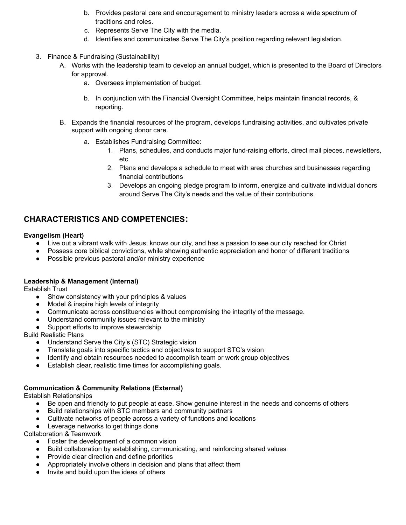- b. Provides pastoral care and encouragement to ministry leaders across a wide spectrum of traditions and roles.
- c. Represents Serve The City with the media.
- d. Identifies and communicates Serve The City's position regarding relevant legislation.
- 3. Finance & Fundraising (Sustainability)
	- A. Works with the leadership team to develop an annual budget, which is presented to the Board of Directors for approval.
		- a. Oversees implementation of budget.
		- b. In conjunction with the Financial Oversight Committee, helps maintain financial records, & reporting.
	- B. Expands the financial resources of the program, develops fundraising activities, and cultivates private support with ongoing donor care.
		- a. Establishes Fundraising Committee:
			- 1. Plans, schedules, and conducts major fund-raising efforts, direct mail pieces, newsletters, etc.
			- 2. Plans and develops a schedule to meet with area churches and businesses regarding financial contributions
			- 3. Develops an ongoing pledge program to inform, energize and cultivate individual donors around Serve The City's needs and the value of their contributions.

# **CHARACTERISTICS AND COMPETENCIES:**

## **Evangelism (Heart)**

- Live out a vibrant walk with Jesus; knows our city, and has a passion to see our city reached for Christ
- Possess core biblical convictions, while showing authentic appreciation and honor of different traditions
- Possible previous pastoral and/or ministry experience

## **Leadership & Management (Internal)**

Establish Trust

- Show consistency with your principles & values
- Model & inspire high levels of integrity
- Communicate across constituencies without compromising the integrity of the message.
- Understand community issues relevant to the ministry
- Support efforts to improve stewardship

Build Realistic Plans

- Understand Serve the City's (STC) Strategic vision
- Translate goals into specific tactics and objectives to support STC's vision
- Identify and obtain resources needed to accomplish team or work group objectives
- Establish clear, realistic time times for accomplishing goals.

## **Communication & Community Relations (External)**

Establish Relationships

- Be open and friendly to put people at ease. Show genuine interest in the needs and concerns of others
- Build relationships with STC members and community partners
- Cultivate networks of people across a variety of functions and locations
- Leverage networks to get things done

Collaboration & Teamwork

- Foster the development of a common vision
- Build collaboration by establishing, communicating, and reinforcing shared values
- Provide clear direction and define priorities
- Appropriately involve others in decision and plans that affect them
- Invite and build upon the ideas of others